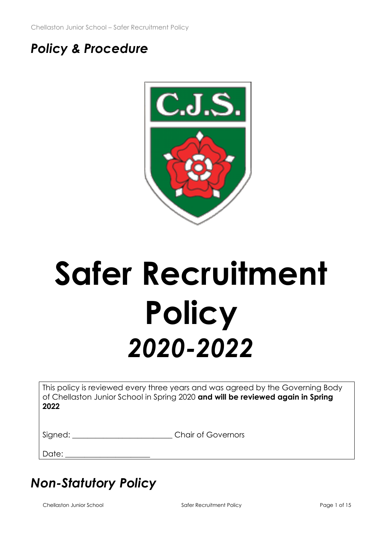# *Policy & Procedure*



# **Safer Recruitment Policy** *2020-2022*

This policy is reviewed every three years and was agreed by the Governing Body of Chellaston Junior School in Spring 2020 **and will be reviewed again in Spring 2022**

Signed:  $\Box$  Chair of Governors

Date:

# *Non-Statutory Policy*

Chellaston Junior School **Safer Recruitment Policy** Page 1 of 15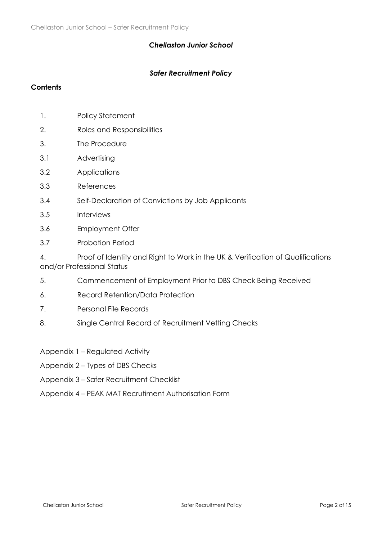#### *Chellaston Junior School*

#### *Safer Recruitment Policy*

#### **Contents**

- 1. Policy Statement
- 2. Roles and Responsibilities
- 3. The Procedure
- 3.1 Advertising
- 3.2 Applications
- 3.3 References
- 3.4 Self-Declaration of Convictions by Job Applicants
- 3.5 Interviews
- 3.6 Employment Offer
- 3.7 Probation Period

4. Proof of Identity and Right to Work in the UK & Verification of Qualifications and/or Professional Status

- 5. Commencement of Employment Prior to DBS Check Being Received
- 6. Record Retention/Data Protection
- 7. Personal File Records
- 8. Single Central Record of Recruitment Vetting Checks
- Appendix 1 Regulated Activity
- Appendix 2 Types of DBS Checks
- Appendix 3 Safer Recruitment Checklist
- Appendix 4 PEAK MAT Recrutiment Authorisation Form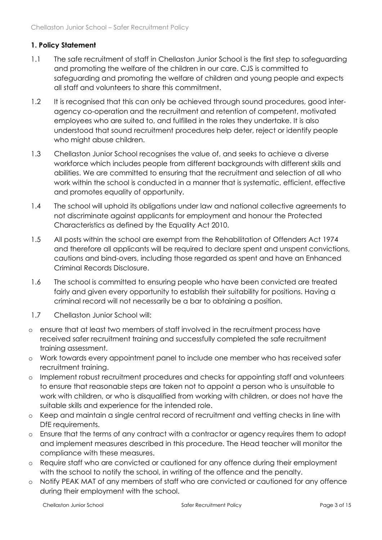# **1. Policy Statement**

- 1.1 The safe recruitment of staff in Chellaston Junior School is the first step to safeguarding and promoting the welfare of the children in our care. CJS is committed to safeguarding and promoting the welfare of children and young people and expects all staff and volunteers to share this commitment.
- 1.2 It is recognised that this can only be achieved through sound procedures, good interagency co-operation and the recruitment and retention of competent, motivated employees who are suited to, and fulfilled in the roles they undertake. It is also understood that sound recruitment procedures help deter, reject or identify people who might abuse children.
- 1.3 Chellaston Junior School recognises the value of, and seeks to achieve a diverse workforce which includes people from different backgrounds with different skills and abilities. We are committed to ensuring that the recruitment and selection of all who work within the school is conducted in a manner that is systematic, efficient, effective and promotes equality of opportunity.
- 1.4 The school will uphold its obligations under law and national collective agreements to not discriminate against applicants for employment and honour the Protected Characteristics as defined by the Equality Act 2010.
- 1.5 All posts within the school are exempt from the Rehabilitation of Offenders Act 1974 and therefore all applicants will be required to declare spent and unspent convictions, cautions and bind-overs, including those regarded as spent and have an Enhanced Criminal Records Disclosure.
- 1.6 The school is committed to ensuring people who have been convicted are treated fairly and given every opportunity to establish their suitability for positions. Having a criminal record will not necessarily be a bar to obtaining a position.
- 1.7 Chellaston Junior School will:
- o ensure that at least two members of staff involved in the recruitment process have received safer recruitment training and successfully completed the safe recruitment training assessment.
- o Work towards every appointment panel to include one member who has received safer recruitment training.
- o Implement robust recruitment procedures and checks for appointing staff and volunteers to ensure that reasonable steps are taken not to appoint a person who is unsuitable to work with children, or who is disqualified from working with children, or does not have the suitable skills and experience for the intended role.
- o Keep and maintain a single central record of recruitment and vetting checks in line with DfE requirements.
- o Ensure that the terms of any contract with a contractor or agency requires them to adopt and implement measures described in this procedure. The Head teacher will monitor the compliance with these measures.
- o Require staff who are convicted or cautioned for any offence during their employment with the school to notify the school, in writing of the offence and the penalty.
- o Notify PEAK MAT of any members of staff who are convicted or cautioned for any offence during their employment with the school.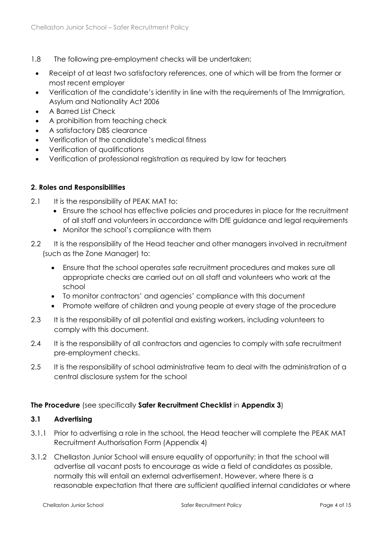- 1.8 The following pre-employment checks will be undertaken:
	- Receipt of at least two satisfactory references, one of which will be from the former or most recent employer
	- Verification of the candidate's identity in line with the requirements of The Immigration, Asylum and Nationality Act 2006
	- A Barred List Check
	- A prohibition from teaching check
	- A satisfactory DBS clearance
	- Verification of the candidate's medical fitness
	- Verification of qualifications
	- Verification of professional registration as required by law for teachers

#### **2. Roles and Responsibilities**

- 2.1 It is the responsibility of PEAK MAT to:
	- Ensure the school has effective policies and procedures in place for the recruitment of all staff and volunteers in accordance with DfE guidance and legal requirements
	- Monitor the school's compliance with them
- 2.2 It is the responsibility of the Head teacher and other managers involved in recruitment (such as the Zone Manager) to:
	- Ensure that the school operates safe recruitment procedures and makes sure all appropriate checks are carried out on all staff and volunteers who work at the school
	- To monitor contractors' and agencies' compliance with this document
	- Promote welfare of children and young people at every stage of the procedure
- 2.3 It is the responsibility of all potential and existing workers, including volunteers to comply with this document.
- 2.4 It is the responsibility of all contractors and agencies to comply with safe recruitment pre-employment checks.
- 2.5 It is the responsibility of school administrative team to deal with the administration of a central disclosure system for the school

#### **The Procedure** (see specifically **Safer Recruitment Checklist** in **Appendix 3**)

#### **3.1 Advertising**

- 3.1.1 Prior to advertising a role in the school, the Head teacher will complete the PEAK MAT Recruitment Authorisation Form (Appendix 4)
- 3.1.2 Chellaston Junior School will ensure equality of opportunity; in that the school will advertise all vacant posts to encourage as wide a field of candidates as possible, normally this will entail an external advertisement. However, where there is a reasonable expectation that there are sufficient qualified internal candidates or where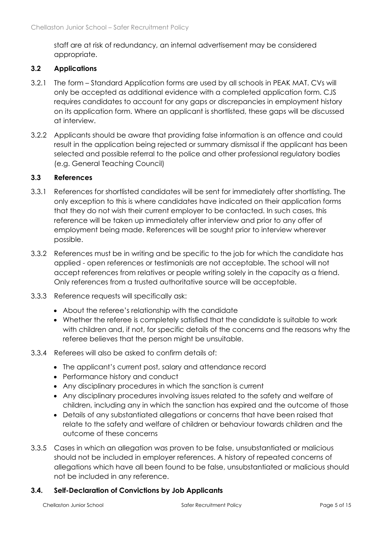staff are at risk of redundancy, an internal advertisement may be considered appropriate.

#### **3.2 Applications**

- 3.2.1 The form Standard Application forms are used by all schools in PEAK MAT. CVs will only be accepted as additional evidence with a completed application form. CJS requires candidates to account for any gaps or discrepancies in employment history on its application form. Where an applicant is shortlisted, these gaps will be discussed at interview.
- 3.2.2 Applicants should be aware that providing false information is an offence and could result in the application being rejected or summary dismissal if the applicant has been selected and possible referral to the police and other professional regulatory bodies (e.g. General Teaching Council)

#### **3.3 References**

- 3.3.1 References for shortlisted candidates will be sent for immediately after shortlisting. The only exception to this is where candidates have indicated on their application forms that they do not wish their current employer to be contacted. In such cases, this reference will be taken up immediately after interview and prior to any offer of employment being made. References will be sought prior to interview wherever possible.
- 3.3.2 References must be in writing and be specific to the job for which the candidate has applied - open references or testimonials are not acceptable. The school will not accept references from relatives or people writing solely in the capacity as a friend. Only references from a trusted authoritative source will be acceptable.
- 3.3.3 Reference requests will specifically ask:
	- About the referee's relationship with the candidate
	- Whether the referee is completely satisfied that the candidate is suitable to work with children and, if not, for specific details of the concerns and the reasons why the referee believes that the person might be unsuitable.
- 3.3.4 Referees will also be asked to confirm details of:
	- The applicant's current post, salary and attendance record
	- Performance history and conduct
	- Any disciplinary procedures in which the sanction is current
	- Any disciplinary procedures involving issues related to the safety and welfare of children, including any in which the sanction has expired and the outcome of those
	- Details of any substantiated allegations or concerns that have been raised that relate to the safety and welfare of children or behaviour towards children and the outcome of these concerns
- 3.3.5 Cases in which an allegation was proven to be false, unsubstantiated or malicious should not be included in employer references. A history of repeated concerns of allegations which have all been found to be false, unsubstantiated or malicious should not be included in any reference.

#### **3.4. Self-Declaration of Convictions by Job Applicants**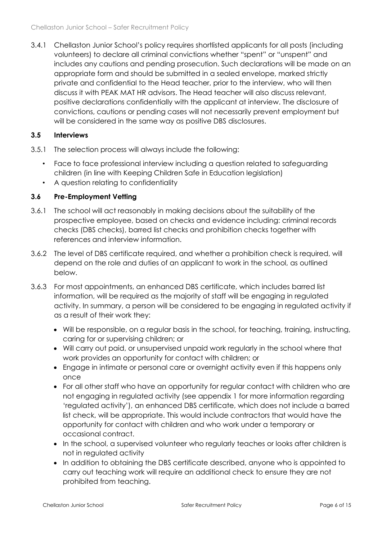3.4.1 Chellaston Junior School's policy requires shortlisted applicants for all posts (including volunteers) to declare all criminal convictions whether "spent" or "unspent" and includes any cautions and pending prosecution. Such declarations will be made on an appropriate form and should be submitted in a sealed envelope, marked strictly private and confidential to the Head teacher, prior to the interview, who will then discuss it with PEAK MAT HR advisors. The Head teacher will also discuss relevant, positive declarations confidentially with the applicant at interview. The disclosure of convictions, cautions or pending cases will not necessarily prevent employment but will be considered in the same way as positive DBS disclosures.

# **3.5 Interviews**

- 3.5.1 The selection process will always include the following:
	- Face to face professional interview including a question related to safeguarding children (in line with Keeping Children Safe in Education legislation)
	- A question relating to confidentiality

# **3.6 Pre-Employment Vetting**

- 3.6.1 The school will act reasonably in making decisions about the suitability of the prospective employee, based on checks and evidence including: criminal records checks (DBS checks), barred list checks and prohibition checks together with references and interview information.
- 3.6.2 The level of DBS certificate required, and whether a prohibition check is required, will depend on the role and duties of an applicant to work in the school, as outlined below.
- 3.6.3 For most appointments, an enhanced DBS certificate, which includes barred list information, will be required as the majority of staff will be engaging in regulated activity. In summary, a person will be considered to be engaging in regulated activity if as a result of their work they:
	- Will be responsible, on a regular basis in the school, for teaching, training, instructing, caring for or supervising children; or
	- Will carry out paid, or unsupervised unpaid work regularly in the school where that work provides an opportunity for contact with children; or
	- Engage in intimate or personal care or overnight activity even if this happens only once
	- For all other staff who have an opportunity for regular contact with children who are not engaging in regulated activity (see appendix 1 for more information regarding 'regulated activity'), an enhanced DBS certificate, which does not include a barred list check, will be appropriate. This would include contractors that would have the opportunity for contact with children and who work under a temporary or occasional contract.
	- In the school, a supervised volunteer who regularly teaches or looks after children is not in regulated activity
	- In addition to obtaining the DBS certificate described, anyone who is appointed to carry out teaching work will require an additional check to ensure they are not prohibited from teaching.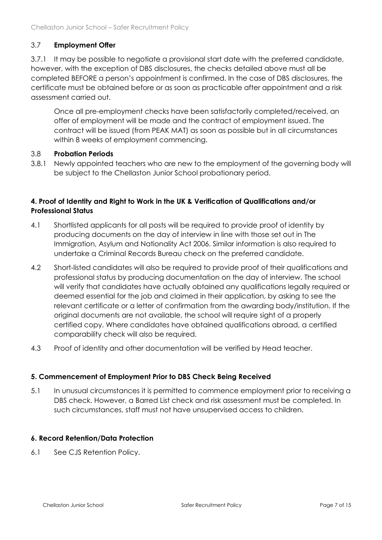# 3.7 **Employment Offer**

3.7.1 It may be possible to negotiate a provisional start date with the preferred candidate, however, with the exception of DBS disclosures, the checks detailed above must all be completed BEFORE a person's appointment is confirmed. In the case of DBS disclosures, the certificate must be obtained before or as soon as practicable after appointment and a risk assessment carried out.

Once all pre-employment checks have been satisfactorily completed/received, an offer of employment will be made and the contract of employment issued. The contract will be issued (from PEAK MAT) as soon as possible but in all circumstances within 8 weeks of employment commencing.

#### 3.8 **Probation Periods**

3.8.1 Newly appointed teachers who are new to the employment of the governing body will be subject to the Chellaston Junior School probationary period.

# **4. Proof of Identity and Right to Work in the UK & Verification of Qualifications and/or Professional Status**

- 4.1 Shortlisted applicants for all posts will be required to provide proof of identity by producing documents on the day of interview in line with those set out in The Immigration, Asylum and Nationality Act 2006. Similar information is also required to undertake a Criminal Records Bureau check on the preferred candidate.
- 4.2 Short-listed candidates will also be required to provide proof of their qualifications and professional status by producing documentation on the day of interview. The school will verify that candidates have actually obtained any qualifications legally required or deemed essential for the job and claimed in their application, by asking to see the relevant certificate or a letter of confirmation from the awarding body/institution. If the original documents are not available, the school will require sight of a properly certified copy. Where candidates have obtained qualifications abroad, a certified comparability check will also be required.
- 4.3 Proof of identity and other documentation will be verified by Head teacher.

#### **5. Commencement of Employment Prior to DBS Check Being Received**

5.1 In unusual circumstances it is permitted to commence employment prior to receiving a DBS check. However, a Barred List check and risk assessment must be completed. In such circumstances, staff must not have unsupervised access to children.

#### **6. Record Retention/Data Protection**

6.1 See CJS Retention Policy.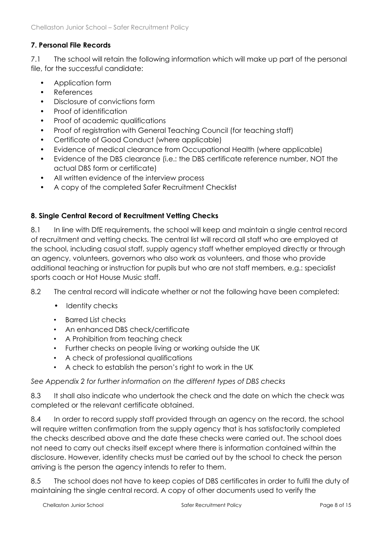# **7. Personal File Records**

7.1 The school will retain the following information which will make up part of the personal file, for the successful candidate:

- Application form
- References
- Disclosure of convictions form
- Proof of identification
- Proof of academic qualifications
- Proof of reaistration with General Teaching Council (for teaching staff)
- Certificate of Good Conduct (where applicable)
- Evidence of medical clearance from Occupational Health (where applicable)
- Evidence of the DBS clearance (i.e.: the DBS certificate reference number, NOT the actual DBS form or certificate)
- All written evidence of the interview process
- A copy of the completed Safer Recruitment Checklist

# **8. Single Central Record of Recruitment Vetting Checks**

8.1 In line with DfE requirements, the school will keep and maintain a single central record of recruitment and vetting checks. The central list will record all staff who are employed at the school, including casual staff, supply agency staff whether employed directly or through an agency, volunteers, governors who also work as volunteers, and those who provide additional teaching or instruction for pupils but who are not staff members, e.g.: specialist sports coach or Hot House Music staff.

#### 8.2 The central record will indicate whether or not the following have been completed:

- Identity checks
- Barred List checks
- An enhanced DBS check/certificate
- A Prohibition from teaching check
- Further checks on people living or working outside the UK
- A check of professional qualifications
- A check to establish the person's right to work in the UK

#### *See Appendix 2 for further information on the different types of DBS checks*

8.3 It shall also indicate who undertook the check and the date on which the check was completed or the relevant certificate obtained.

8.4 In order to record supply staff provided through an agency on the record, the school will require written confirmation from the supply agency that is has satisfactorily completed the checks described above and the date these checks were carried out. The school does not need to carry out checks itself except where there is information contained within the disclosure. However, identity checks must be carried out by the school to check the person arriving is the person the agency intends to refer to them.

8.5 The school does not have to keep copies of DBS certificates in order to fulfil the duty of maintaining the single central record. A copy of other documents used to verify the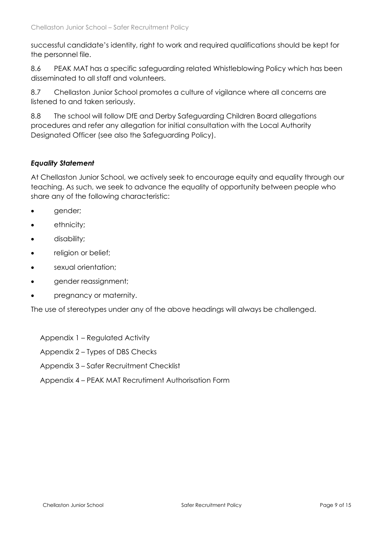successful candidate's identity, right to work and required qualifications should be kept for the personnel file.

8.6 PEAK MAT has a specific safeguarding related Whistleblowing Policy which has been disseminated to all staff and volunteers.

8.7 Chellaston Junior School promotes a culture of vigilance where all concerns are listened to and taken seriously.

8.8 The school will follow DfE and Derby Safeguarding Children Board allegations procedures and refer any allegation for initial consultation with the Local Authority Designated Officer (see also the Safeguarding Policy).

#### *Equality Statement*

At Chellaston Junior School, we actively seek to encourage equity and equality through our teaching. As such, we seek to advance the equality of opportunity between people who share any of the following characteristic:

- gender;
- ethnicity;
- disability;
- religion or belief;
- sexual orientation;
- gender reassignment;
- pregnancy or maternity.

The use of stereotypes under any of the above headings will always be challenged.

- Appendix 1 Regulated Activity
- Appendix 2 Types of DBS Checks
- Appendix 3 Safer Recruitment Checklist
- Appendix 4 PEAK MAT Recrutiment Authorisation Form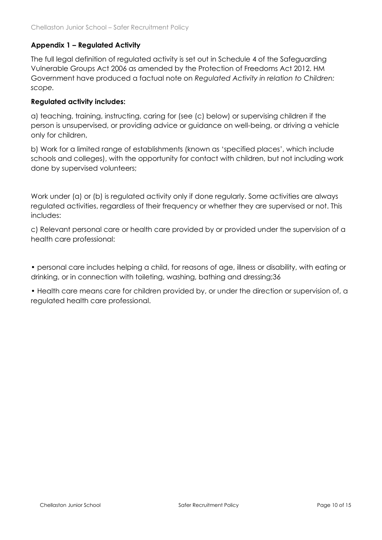# **Appendix 1 – Regulated Activity**

The full legal definition of regulated activity is set out in Schedule 4 of the Safeguarding Vulnerable Groups Act 2006 as amended by the Protection of Freedoms Act 2012. HM Government have produced a factual note on *Regulated Activity in relation to Children: scope.*

#### **Regulated activity includes:**

a) teaching, training, instructing, caring for (see (c) below) or supervising children if the person is unsupervised, or providing advice or guidance on well-being, or driving a vehicle only for children,

b) Work for a limited range of establishments (known as 'specified places', which include schools and colleges), with the opportunity for contact with children, but not including work done by supervised volunteers;

Work under (a) or (b) is regulated activity only if done regularly. Some activities are always regulated activities, regardless of their frequency or whether they are supervised or not. This includes:

c) Relevant personal care or health care provided by or provided under the supervision of a health care professional:

• personal care includes helping a child, for reasons of age, illness or disability, with eating or drinking, or in connection with toileting, washing, bathing and dressing;36

• Health care means care for children provided by, or under the direction or supervision of, a regulated health care professional.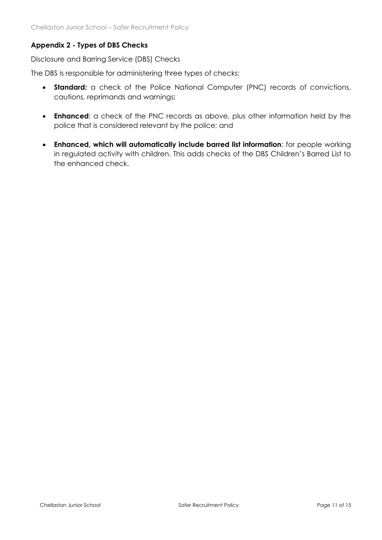# **Appendix 2 - Types of DBS Checks**

Disclosure and Barring Service (DBS) Checks

The DBS is responsible for administering three types of checks:

- **Standard:** a check of the Police National Computer (PNC) records of convictions, cautions, reprimands and warnings;
- **Enhanced**: a check of the PNC records as above, plus other information held by the police that is considered relevant by the police; and
- **Enhanced, which will automatically include barred list information**: for people working in regulated activity with children. This adds checks of the DBS Children's Barred List to the enhanced check.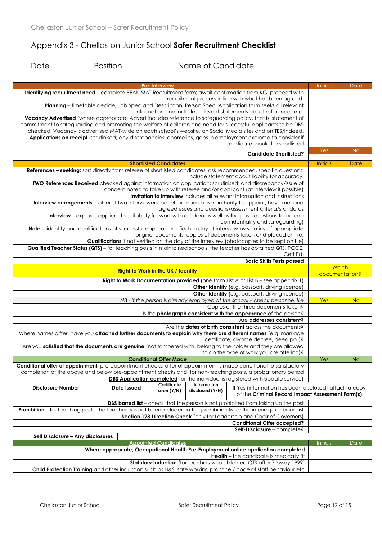# Appendix 3 - Chellaston Junior School **Safer Recruitment Checklist**

Date\_\_\_\_\_\_\_\_\_\_\_\_\_ Position\_\_\_\_\_\_\_\_\_\_\_\_\_\_\_\_\_\_ Name of Candidate\_\_\_\_\_\_\_\_\_\_\_\_\_\_\_\_\_\_

|                                   |             | <b>Pre-Interview</b>                      |                                | Identifying recruitment need - complete PEAK MAT Recruitment form; await confirmation from KG; proceed with                                                                                             | <b>Initials</b> | Date           |
|-----------------------------------|-------------|-------------------------------------------|--------------------------------|---------------------------------------------------------------------------------------------------------------------------------------------------------------------------------------------------------|-----------------|----------------|
|                                   |             |                                           |                                | recruitment process in line with what has been agreed.                                                                                                                                                  |                 |                |
|                                   |             |                                           |                                | Planning - timetable decide; Job Spec and Description; Person Spec. Application form seeks all relevant                                                                                                 |                 |                |
|                                   |             |                                           |                                | information and includes relevant statements about references etc.                                                                                                                                      |                 |                |
|                                   |             |                                           |                                | Vacancy Advertised (where appropriate) Advert includes reference to safeguarding policy, that is, statement of                                                                                          |                 |                |
|                                   |             |                                           |                                | commitment to safeguarding and promoting the welfare of children and need for successful applicants to be DBS                                                                                           |                 |                |
|                                   |             |                                           |                                | checked. Vacancy is advertised MAT-wide on each school's website, on Social Media sites and on TES/Indeed.                                                                                              |                 |                |
|                                   |             |                                           |                                | Applications on receipt scrutinised; any discrepancies, anomalies, gaps in employment explored to consider if                                                                                           |                 |                |
|                                   |             |                                           |                                | candidate should be shortlisted                                                                                                                                                                         |                 |                |
|                                   |             |                                           |                                | <b>Candidate Shortlisted?</b>                                                                                                                                                                           | Yes             | <b>No</b>      |
|                                   |             | <b>Shortlisted Candidates</b>             |                                |                                                                                                                                                                                                         | Initials        | Date           |
|                                   |             |                                           |                                | References - seeking; sort directly from referee of shortlisted candidates; ask recommended, specific questions;                                                                                        |                 |                |
|                                   |             |                                           |                                | include statement about liability for accuracy.                                                                                                                                                         |                 |                |
|                                   |             |                                           |                                | TWO References Received checked against information on application; scrutinised; and discrepancy/issue of                                                                                               |                 |                |
|                                   |             |                                           |                                | concern noted to take up with referee and/or applicant (at interview if possible)                                                                                                                       |                 |                |
|                                   |             |                                           |                                | Invitation to interview includes all relevant information and instructions                                                                                                                              |                 |                |
|                                   |             |                                           |                                | Interview arrangements - at least two interviewers; panel members have authority to appoint; have met and                                                                                               |                 |                |
|                                   |             |                                           |                                | agreed issues and questions/assessment criteria/standards                                                                                                                                               |                 |                |
|                                   |             |                                           |                                | Interview - explores applicant's suitability for work with children as well as the post (questions to include                                                                                           |                 |                |
|                                   |             |                                           |                                | confidentiality and safeguarding)                                                                                                                                                                       |                 |                |
|                                   |             |                                           |                                | Note - identity and qualifications of successful applicant verified on day of interview by scrutiny of appropriate<br>original documents; copies of documents taken and placed on file.                 |                 |                |
|                                   |             |                                           |                                | Qualifications if not verified on the day of the interview (photocopies to be kept on file)                                                                                                             |                 |                |
|                                   |             |                                           |                                | Qualified Teacher Status (QTS) - for teaching posts in maintained schools; the teacher has obtained QTS. PGCE,                                                                                          |                 |                |
|                                   |             |                                           |                                | Cert Ed.                                                                                                                                                                                                |                 |                |
|                                   |             |                                           |                                | <b>Basic Skills Tests passed</b>                                                                                                                                                                        |                 |                |
|                                   |             |                                           |                                |                                                                                                                                                                                                         |                 | Which          |
|                                   |             | <b>Right to Work in the UK / Identify</b> |                                |                                                                                                                                                                                                         |                 | documentation? |
|                                   |             |                                           |                                | Right to Work Documentation provided (one from List A or List B - see appendix 1)                                                                                                                       |                 |                |
|                                   |             |                                           |                                | Other Identity (e.g. passport, driving licence)                                                                                                                                                         |                 |                |
|                                   |             |                                           |                                | <b>Other Identity</b> (e.g. passport, driving licence)                                                                                                                                                  |                 |                |
|                                   |             |                                           |                                | NB - If the person is already employed at the school - check personnel file                                                                                                                             | Yes             | <b>No</b>      |
|                                   |             |                                           |                                | Copies of the three documents taken?                                                                                                                                                                    |                 |                |
|                                   |             |                                           |                                | Is the photograph consistent with the appearance of the person?<br>Are addresses consistent?                                                                                                            |                 |                |
|                                   |             |                                           |                                | Are the dates of birth consistent across the documents?                                                                                                                                                 |                 |                |
|                                   |             |                                           |                                | Where names differ, have you attached further documents to explain why there are different names (e.g. marriage                                                                                         |                 |                |
|                                   |             |                                           |                                | certificate, divorce decree, deed poll)?                                                                                                                                                                |                 |                |
|                                   |             |                                           |                                | Are you satisfied that the documents are genuine (not tampered with, belong to the holder and they are allowed                                                                                          |                 |                |
|                                   |             |                                           |                                | to do the type of work you are offering)?                                                                                                                                                               |                 |                |
|                                   |             | <b>Conditional Offer Made</b>             |                                |                                                                                                                                                                                                         | Yes             | <b>No</b>      |
|                                   |             |                                           |                                | Conditional offer of appointment; pre-appointment checks; offer of appointment is made conditional to satisfactory                                                                                      |                 |                |
|                                   |             |                                           |                                | completion of the above and below pre-appointment checks and, for non-teaching posts, a probationary period                                                                                             |                 |                |
|                                   |             |                                           |                                | <b>DBS Application completed</b> (or the individual is registered with update service)                                                                                                                  |                 |                |
| <b>Disclosure Number</b>          | Date Issued | Certificate<br>seen (Y/N)                 | Information<br>disclosed (Y/N) | If Yes (information has been disclosed) attach a copy<br>of the Criminal Record Impact Assessment Form(s)                                                                                               |                 |                |
|                                   |             |                                           |                                |                                                                                                                                                                                                         |                 |                |
|                                   |             |                                           |                                | <b>DBS barred list</b> – check that the person is not prohibited from taking up the post                                                                                                                |                 |                |
|                                   |             |                                           |                                | Prohibition - for teaching posts; the teacher has not been included in the prohibition list or the interim prohibition list<br>Section 128 Direction Check (only for Leadership and Chair of Governors) |                 |                |
|                                   |             |                                           |                                | <b>Conditional Offer accepted?</b>                                                                                                                                                                      |                 |                |
|                                   |             |                                           |                                | Self-Disclosure - complete?                                                                                                                                                                             |                 |                |
| Self Disclosure - Any disclosures |             |                                           |                                |                                                                                                                                                                                                         |                 |                |
|                                   |             | <b>Appointed Candidates</b>               |                                |                                                                                                                                                                                                         | <b>Initials</b> | Date           |
|                                   |             |                                           |                                | Where appropriate, Occupational Health Pre-Employment online application completed                                                                                                                      |                 |                |
|                                   |             |                                           |                                | <b>Health - the candidate is medically fit</b>                                                                                                                                                          |                 |                |
|                                   |             |                                           |                                | Statutory Induction (for teachers who obtained QTS after 7th May 1999)                                                                                                                                  |                 |                |
|                                   |             |                                           |                                | Child Protection Training and other induction such as H&S, safe working practice / code of staff behaviour etc                                                                                          |                 |                |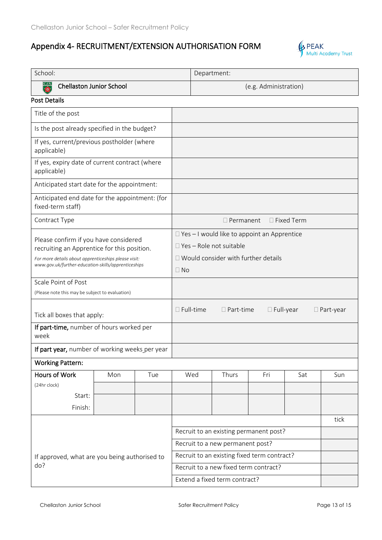# Appendix 4- RECRUITMENT/EXTENSION AUTHORISATION FORM



| School:                                                                                                                                                                                             |     |     | Department:                                                                                                                                |     |                  |                                        |                   |      |
|-----------------------------------------------------------------------------------------------------------------------------------------------------------------------------------------------------|-----|-----|--------------------------------------------------------------------------------------------------------------------------------------------|-----|------------------|----------------------------------------|-------------------|------|
| <b>Chellaston Junior School</b><br>$\overline{\bullet}$                                                                                                                                             |     |     | (e.g. Administration)                                                                                                                      |     |                  |                                        |                   |      |
| <b>Post Details</b>                                                                                                                                                                                 |     |     |                                                                                                                                            |     |                  |                                        |                   |      |
| Title of the post                                                                                                                                                                                   |     |     |                                                                                                                                            |     |                  |                                        |                   |      |
| Is the post already specified in the budget?                                                                                                                                                        |     |     |                                                                                                                                            |     |                  |                                        |                   |      |
| If yes, current/previous postholder (where<br>applicable)                                                                                                                                           |     |     |                                                                                                                                            |     |                  |                                        |                   |      |
| If yes, expiry date of current contract (where<br>applicable)                                                                                                                                       |     |     |                                                                                                                                            |     |                  |                                        |                   |      |
| Anticipated start date for the appointment:                                                                                                                                                         |     |     |                                                                                                                                            |     |                  |                                        |                   |      |
| Anticipated end date for the appointment: (for<br>fixed-term staff)                                                                                                                                 |     |     |                                                                                                                                            |     |                  |                                        |                   |      |
| Contract Type                                                                                                                                                                                       |     |     |                                                                                                                                            |     | $\Box$ Permanent |                                        | $\Box$ Fixed Term |      |
| Please confirm if you have considered<br>recruiting an Apprentice for this position.<br>For more details about apprenticeships please visit:<br>www.gov.uk/further-education-skills/apprenticeships |     |     | $\Box$ Yes - I would like to appoint an Apprentice<br>$\Box$ Yes - Role not suitable<br>□ Would consider with further details<br>$\Box$ No |     |                  |                                        |                   |      |
| Scale Point of Post                                                                                                                                                                                 |     |     |                                                                                                                                            |     |                  |                                        |                   |      |
| (Please note this may be subject to evaluation)                                                                                                                                                     |     |     |                                                                                                                                            |     |                  |                                        |                   |      |
| Tick all boxes that apply:                                                                                                                                                                          |     |     | $\square$ Full-time<br>$\Box$ Full-year<br>$\Box$ Part-time<br>$\Box$ Part-year                                                            |     |                  |                                        |                   |      |
| If part-time, number of hours worked per<br>week                                                                                                                                                    |     |     |                                                                                                                                            |     |                  |                                        |                   |      |
| If part year, number of working weeks per year                                                                                                                                                      |     |     |                                                                                                                                            |     |                  |                                        |                   |      |
| <b>Working Pattern:</b>                                                                                                                                                                             |     |     |                                                                                                                                            |     |                  |                                        |                   |      |
| Hours of Work                                                                                                                                                                                       | Mon | Tue |                                                                                                                                            | Wed | Thurs            | Fri                                    | Sat               | Sun  |
| (24hr clock)                                                                                                                                                                                        |     |     |                                                                                                                                            |     |                  |                                        |                   |      |
| Start:<br>Finish:                                                                                                                                                                                   |     |     |                                                                                                                                            |     |                  |                                        |                   |      |
|                                                                                                                                                                                                     |     |     |                                                                                                                                            |     |                  |                                        |                   | tick |
|                                                                                                                                                                                                     |     |     |                                                                                                                                            |     |                  | Recruit to an existing permanent post? |                   |      |
| If approved, what are you being authorised to<br>do?                                                                                                                                                |     |     | Recruit to a new permanent post?                                                                                                           |     |                  |                                        |                   |      |
|                                                                                                                                                                                                     |     |     | Recruit to an existing fixed term contract?                                                                                                |     |                  |                                        |                   |      |
|                                                                                                                                                                                                     |     |     | Recruit to a new fixed term contract?                                                                                                      |     |                  |                                        |                   |      |
|                                                                                                                                                                                                     |     |     | Extend a fixed term contract?                                                                                                              |     |                  |                                        |                   |      |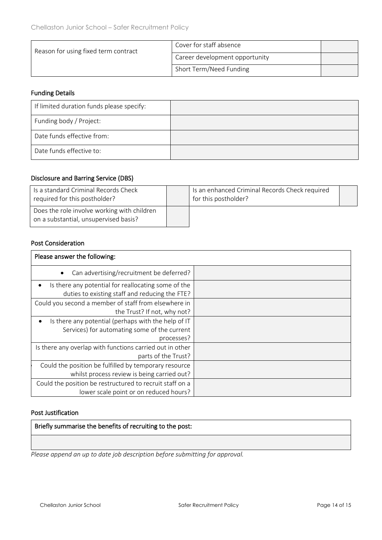| Reason for using fixed term contract | Cover for staff absence        |  |
|--------------------------------------|--------------------------------|--|
|                                      | Career development opportunity |  |
|                                      | Short Term/Need Funding        |  |

#### Funding Details

| If limited duration funds please specify: |  |
|-------------------------------------------|--|
| Funding body / Project:                   |  |
| Date funds effective from:                |  |
| Date funds effective to:                  |  |

# Disclosure and Barring Service (DBS)

| Is a standard Criminal Records Check<br>required for this postholder?                | Is an enhanced Criminal Records Check required<br>for this postholder? |  |
|--------------------------------------------------------------------------------------|------------------------------------------------------------------------|--|
| Does the role involve working with children<br>on a substantial, unsupervised basis? |                                                                        |  |

#### Post Consideration

| Please answer the following:                                                                                           |  |
|------------------------------------------------------------------------------------------------------------------------|--|
| Can advertising/recruitment be deferred?                                                                               |  |
| Is there any potential for reallocating some of the<br>$\bullet$<br>duties to existing staff and reducing the FTE?     |  |
| Could you second a member of staff from elsewhere in<br>the Trust? If not, why not?                                    |  |
| Is there any potential (perhaps with the help of IT<br>٠<br>Services) for automating some of the current<br>processes? |  |
| Is there any overlap with functions carried out in other<br>parts of the Trust?                                        |  |
| Could the position be fulfilled by temporary resource<br>whilst process review is being carried out?                   |  |
| Could the position be restructured to recruit staff on a<br>lower scale point or on reduced hours?                     |  |

#### Post Justification

Briefly summarise the benefits of recruiting to the post:

*Please append an up to date job description before submitting for approval.*